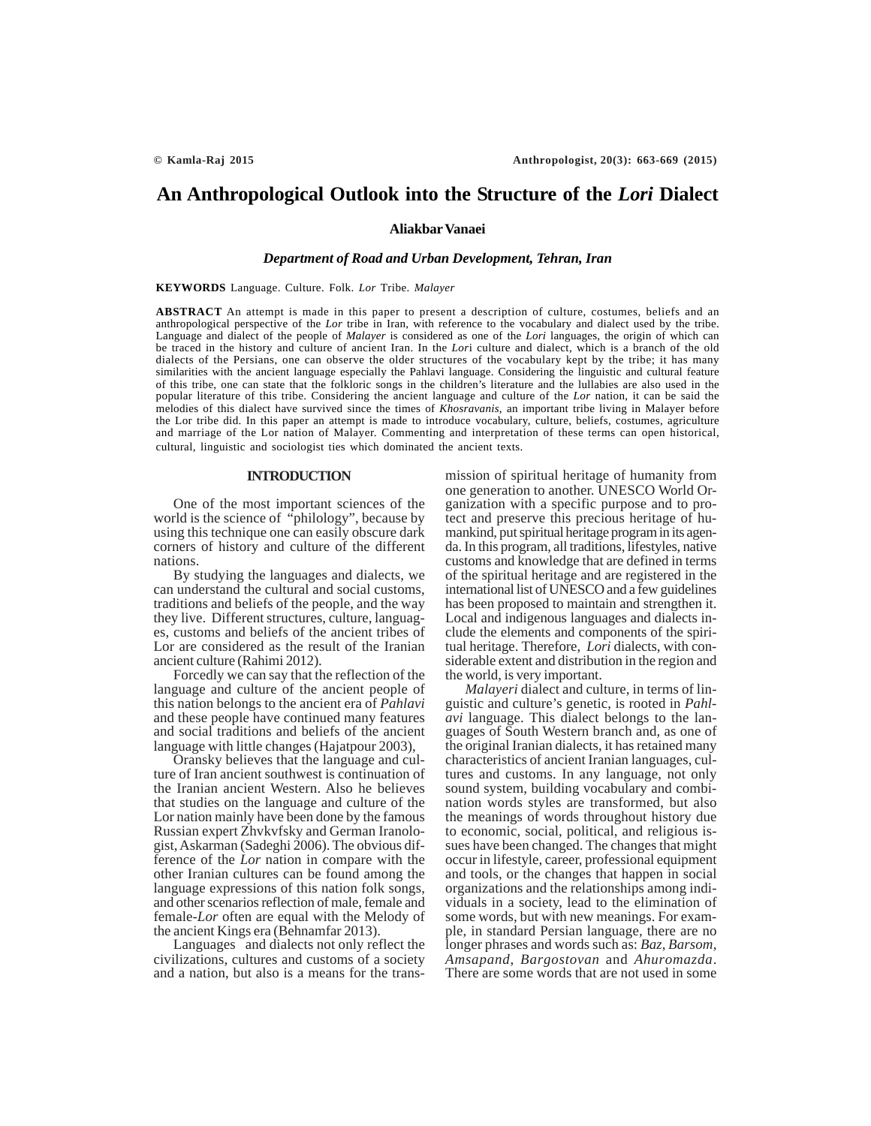# **An Anthropological Outlook into the Structure of the** *Lori* **Dialect**

**Aliakbar Vanaei**

## *Department of Road and Urban Development, Tehran, Iran*

#### **KEYWORDS** Language. Culture. Folk. *Lor* Tribe. *Malayer*

**ABSTRACT** An attempt is made in this paper to present a description of culture, costumes, beliefs and an anthropological perspective of the *Lor* tribe in Iran, with reference to the vocabulary and dialect used by the tribe. Language and dialect of the people of *Malayer* is considered as one of the *Lori* languages, the origin of which can be traced in the history and culture of ancient Iran. In the *Lor*i culture and dialect, which is a branch of the old dialects of the Persians, one can observe the older structures of the vocabulary kept by the tribe; it has many similarities with the ancient language especially the Pahlavi language. Considering the linguistic and cultural feature of this tribe, one can state that the folkloric songs in the children's literature and the lullabies are also used in the popular literature of this tribe. Considering the ancient language and culture of the *Lor* nation, it can be said the melodies of this dialect have survived since the times of *Khosravanis*, an important tribe living in Malayer before the Lor tribe did. In this paper an attempt is made to introduce vocabulary, culture, beliefs, costumes, agriculture and marriage of the Lor nation of Malayer. Commenting and interpretation of these terms can open historical, cultural, linguistic and sociologist ties which dominated the ancient texts.

#### **INTRODUCTION**

One of the most important sciences of the world is the science of "philology", because by using this technique one can easily obscure dark corners of history and culture of the different nations.

By studying the languages and dialects, we can understand the cultural and social customs, traditions and beliefs of the people, and the way they live. Different structures, culture, languages, customs and beliefs of the ancient tribes of Lor are considered as the result of the Iranian ancient culture (Rahimi 2012).

Forcedly we can say that the reflection of the language and culture of the ancient people of this nation belongs to the ancient era of *Pahlavi* and these people have continued many features and social traditions and beliefs of the ancient language with little changes (Hajatpour 2003),

Oransky believes that the language and culture of Iran ancient southwest is continuation of the Iranian ancient Western. Also he believes that studies on the language and culture of the Lor nation mainly have been done by the famous Russian expert Zhvkvfsky and German Iranologist, Askarman (Sadeghi 2006). The obvious difference of the *Lor* nation in compare with the other Iranian cultures can be found among the language expressions of this nation folk songs, and other scenarios reflection of male, female and female-*Lor* often are equal with the Melody of the ancient Kings era (Behnamfar 2013).

Languages and dialects not only reflect the civilizations, cultures and customs of a society and a nation, but also is a means for the transmission of spiritual heritage of humanity from one generation to another. UNESCO World Organization with a specific purpose and to protect and preserve this precious heritage of humankind, put spiritual heritage program in its agenda. In this program, all traditions, lifestyles, native customs and knowledge that are defined in terms of the spiritual heritage and are registered in the international list of UNESCO and a few guidelines has been proposed to maintain and strengthen it. Local and indigenous languages and dialects include the elements and components of the spiritual heritage. Therefore, *Lori* dialects, with considerable extent and distribution in the region and the world, is very important.

*Malayeri* dialect and culture, in terms of linguistic and culture's genetic, is rooted in *Pahlavi* language. This dialect belongs to the languages of South Western branch and, as one of the original Iranian dialects, it has retained many characteristics of ancient Iranian languages, cultures and customs. In any language, not only sound system, building vocabulary and combination words styles are transformed, but also the meanings of words throughout history due to economic, social, political, and religious issues have been changed. The changes that might occur in lifestyle, career, professional equipment and tools, or the changes that happen in social organizations and the relationships among individuals in a society, lead to the elimination of some words, but with new meanings. For example, in standard Persian language, there are no longer phrases and words such as: *Baz*, *Barsom*, *Amsapand*, *Bargostovan* and *Ahuromazda*. There are some words that are not used in some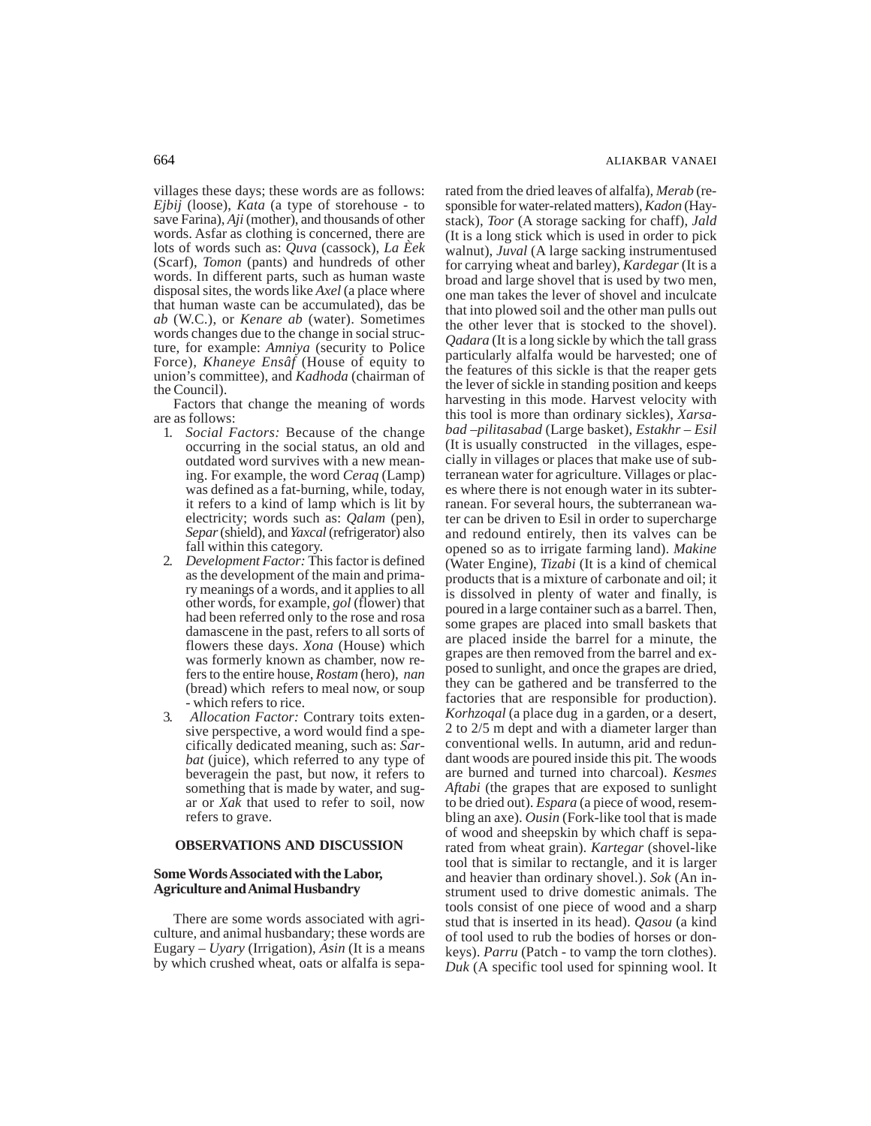villages these days; these words are as follows: *Ejbij* (loose), *Kata* (a type of storehouse - to save Farina), *Aji* (mother), and thousands of other words. Asfar as clothing is concerned, there are lots of words such as: *Quva* (cassock), *La Èek* (Scarf), *Tomon* (pants) and hundreds of other words. In different parts, such as human waste disposal sites*,* the words like *Axel* (a place where that human waste can be accumulated), das be *ab* (W.C.), or *Kenare ab* (water). Sometimes words changes due to the change in social structure, for example: *Amniya* (security to Police Force), *Khaneye Ensâf* (House of equity to union's committee), and *Kadhoda* (chairman of the Council).

Factors that change the meaning of words are as follows:

- 1. *Social Factors:* Because of the change occurring in the social status, an old and outdated word survives with a new meaning. For example, the word *Ceraq* (Lamp) was defined as a fat-burning, while, today, it refers to a kind of lamp which is lit by electricity; words such as: *Qalam* (pen), *Separ* (shield), and *Yaxcal* (refrigerator) also fall within this category.
- 2. *Development Factor:* This factor is defined as the development of the main and primary meanings of a words, and it applies to all other words, for example, *gol* (flower) that had been referred only to the rose and rosa damascene in the past, refers to all sorts of flowers these days. *Xona* (House) which was formerly known as chamber, now refers to the entire house, *Rostam* (hero), *nan* (bread) which refers to meal now, or soup - which refers to rice.
- 3. *Allocation Factor:* Contrary toits extensive perspective, a word would find a specifically dedicated meaning, such as: *Sarbat* (juice), which referred to any type of beveragein the past, but now, it refers to something that is made by water, and sugar or *Xak* that used to refer to soil, now refers to grave.

# **OBSERVATIONS AND DISCUSSION**

# **Some Words Associated with the Labor, Agriculture and Animal Husbandry**

There are some words associated with agriculture, and animal husbandary; these words are Eugary – *Uyary* (Irrigation), *Asin* (It is a means by which crushed wheat, oats or alfalfa is separated from the dried leaves of alfalfa), *Merab* (responsible for water-related matters), *Kadon* (Haystack), *Toor* (A storage sacking for chaff), *Jald* (It is a long stick which is used in order to pick walnut), *Juval* (A large sacking instrumentused for carrying wheat and barley), *Kardegar* (It is a broad and large shovel that is used by two men, one man takes the lever of shovel and inculcate that into plowed soil and the other man pulls out the other lever that is stocked to the shovel). *Qadara* (It is a long sickle by which the tall grass particularly alfalfa would be harvested; one of the features of this sickle is that the reaper gets the lever of sickle in standing position and keeps harvesting in this mode. Harvest velocity with this tool is more than ordinary sickles), *Xarsabad –pilitasabad* (Large basket), *Estakhr – Esil* (It is usually constructed in the villages, especially in villages or places that make use of subterranean water for agriculture. Villages or places where there is not enough water in its subterranean. For several hours, the subterranean water can be driven to Esil in order to supercharge and redound entirely, then its valves can be opened so as to irrigate farming land). *Makine* (Water Engine), *Tizabi* (It is a kind of chemical products that is a mixture of carbonate and oil; it is dissolved in plenty of water and finally, is poured in a large container such as a barrel. Then, some grapes are placed into small baskets that are placed inside the barrel for a minute, the grapes are then removed from the barrel and exposed to sunlight, and once the grapes are dried, they can be gathered and be transferred to the factories that are responsible for production). *Korhzoqal* (a place dug in a garden, or a desert, 2 to 2/5 m dept and with a diameter larger than conventional wells. In autumn, arid and redundant woods are poured inside this pit. The woods are burned and turned into charcoal). *Kesmes Aftabi* (the grapes that are exposed to sunlight to be dried out). *Espara* (a piece of wood, resembling an axe). *Ousin* (Fork-like tool that is made of wood and sheepskin by which chaff is separated from wheat grain). *Kartegar* (shovel-like tool that is similar to rectangle, and it is larger and heavier than ordinary shovel.). *Sok* (An instrument used to drive domestic animals. The tools consist of one piece of wood and a sharp stud that is inserted in its head). *Qasou* (a kind of tool used to rub the bodies of horses or donkeys). *Parru* (Patch - to vamp the torn clothes). *Duk* (A specific tool used for spinning wool. It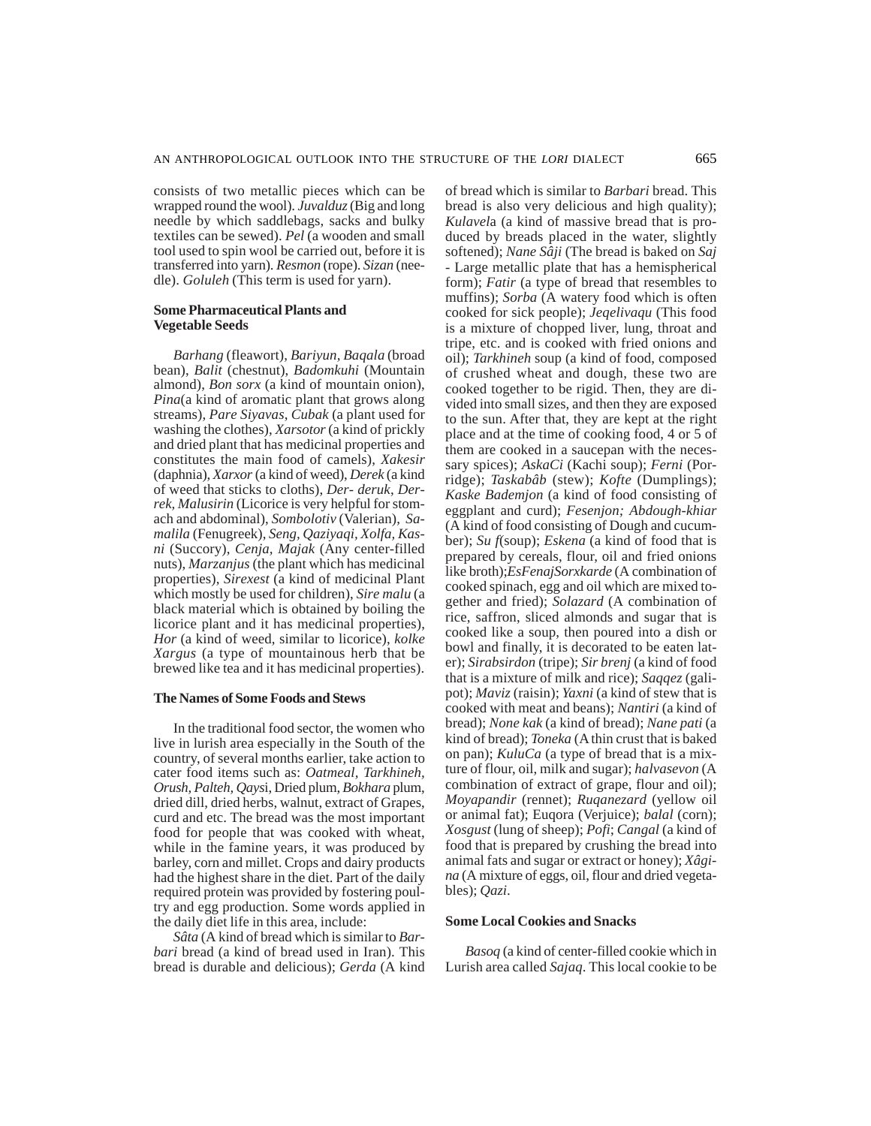consists of two metallic pieces which can be wrapped round the wool). *Juvalduz* (Big and long needle by which saddlebags, sacks and bulky textiles can be sewed). *Pel* (a wooden and small tool used to spin wool be carried out, before it is transferred into yarn). *Resmon* (rope). *Sizan* (needle). *Goluleh* (This term is used for yarn).

#### **Some Pharmaceutical Plants and Vegetable Seeds**

*Barhang* (fleawort), *Bariyun, Baqala* (broad bean), *Balit* (chestnut), *Badomkuhi* (Mountain almond), *Bon sorx* (a kind of mountain onion), *Pina*(a kind of aromatic plant that grows along streams), *Pare Siyavas*, *Cubak* (a plant used for washing the clothes), *Xarsotor* (a kind of prickly and dried plant that has medicinal properties and constitutes the main food of camels), *Xakesir* (daphnia), *Xarxor* (a kind of weed), *Derek* (a kind of weed that sticks to cloths), *Der- deruk*, *Derrek, Malusirin* (Licorice is very helpful for stomach and abdominal), *Sombolotiv* (Valerian), *Samalila* (Fenugreek), *Seng, Qaziyaqi, Xolfa, Kasni* (Succory), *Cenja, Majak* (Any center-filled nuts), *Marzanjus* (the plant which has medicinal properties), *Sirexest* (a kind of medicinal Plant which mostly be used for children), *Sire malu* (a black material which is obtained by boiling the licorice plant and it has medicinal properties), *Hor* (a kind of weed, similar to licorice), *kolke Xargus* (a type of mountainous herb that be brewed like tea and it has medicinal properties).

#### **The Names of Some Foods and Stews**

In the traditional food sector, the women who live in lurish area especially in the South of the country, of several months earlier, take action to cater food items such as: *Oatmeal, Tarkhineh, Orush, Palteh, Qays*i, Dried plum, *Bokhara* plum, dried dill, dried herbs, walnut, extract of Grapes, curd and etc. The bread was the most important food for people that was cooked with wheat, while in the famine years, it was produced by barley, corn and millet. Crops and dairy products had the highest share in the diet. Part of the daily required protein was provided by fostering poultry and egg production. Some words applied in the daily diet life in this area, include:

*Sâta* (A kind of bread which is similar to *Barbari* bread (a kind of bread used in Iran). This bread is durable and delicious); *Gerda* (A kind of bread which is similar to *Barbari* bread. This bread is also very delicious and high quality); *Kulavel*a (a kind of massive bread that is produced by breads placed in the water, slightly softened); *Nane Sâji* (The bread is baked on *Saj* - Large metallic plate that has a hemispherical form); *Fatir* (a type of bread that resembles to muffins); *Sorba* (A watery food which is often cooked for sick people); *Jeqelivaqu* (This food is a mixture of chopped liver, lung, throat and tripe, etc. and is cooked with fried onions and oil); *Tarkhineh* soup (a kind of food, composed of crushed wheat and dough, these two are cooked together to be rigid. Then, they are divided into small sizes, and then they are exposed to the sun. After that, they are kept at the right place and at the time of cooking food, 4 or 5 of them are cooked in a saucepan with the necessary spices); *AskaCi* (Kachi soup); *Ferni* (Porridge); *Taskabâb* (stew); *Kofte* (Dumplings); *Kaske Bademjon* (a kind of food consisting of eggplant and curd); *Fesenjon; Abdough-khiar* (A kind of food consisting of Dough and cucumber); *Su f*(soup); *Eskena* (a kind of food that is prepared by cereals, flour, oil and fried onions like broth);*EsFenajSorxkarde* (A combination of cooked spinach, egg and oil which are mixed together and fried); *Solazard* (A combination of rice, saffron, sliced almonds and sugar that is cooked like a soup, then poured into a dish or bowl and finally, it is decorated to be eaten later); *Sirabsirdon* (tripe); *Sir brenj* (a kind of food that is a mixture of milk and rice); *Saqqez* (galipot); *Maviz* (raisin); *Yaxni* (a kind of stew that is cooked with meat and beans); *Nantiri* (a kind of bread); *None kak* (a kind of bread); *Nane pati* (a kind of bread); *Toneka* (A thin crust that is baked on pan); *KuluCa* (a type of bread that is a mixture of flour, oil, milk and sugar); *halvasevon* (A combination of extract of grape, flour and oil); *Moyapandir* (rennet); *Ruqanezard* (yellow oil or animal fat); Euqora (Verjuice); *balal* (corn); *Xosgust* (lung of sheep); *Pofi*; *Cangal* (a kind of food that is prepared by crushing the bread into animal fats and sugar or extract or honey); *Xâgina* (A mixture of eggs, oil, flour and dried vegetables); *Qazi*.

#### **Some Local Cookies and Snacks**

*Basoq* (a kind of center-filled cookie which in Lurish area called *Sajaq*. This local cookie to be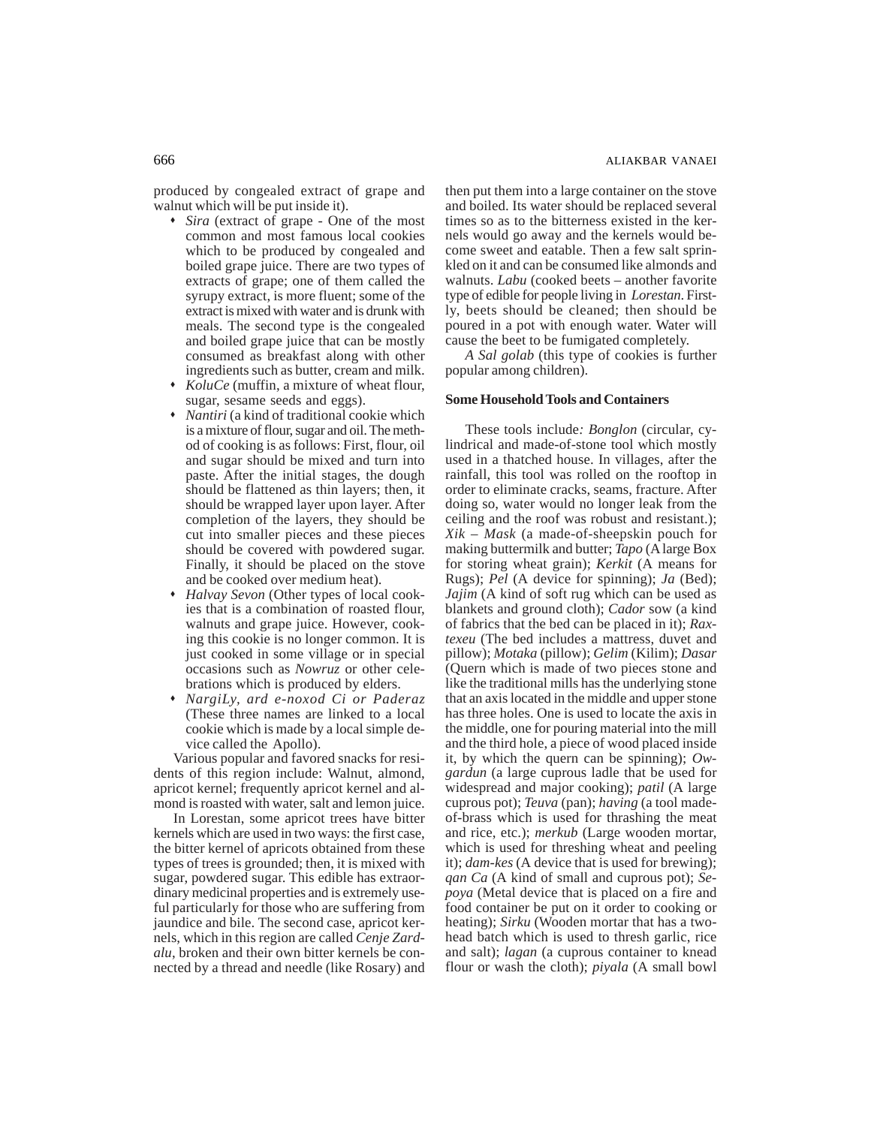produced by congealed extract of grape and walnut which will be put inside it).

- *Sira* (extract of grape One of the most common and most famous local cookies which to be produced by congealed and boiled grape juice. There are two types of extracts of grape; one of them called the syrupy extract, is more fluent; some of the extract is mixed with water and is drunk with meals. The second type is the congealed and boiled grape juice that can be mostly consumed as breakfast along with other ingredients such as butter, cream and milk.
- *KoluCe* (muffin, a mixture of wheat flour, sugar, sesame seeds and eggs).
- *Nantiri* (a kind of traditional cookie which is a mixture of flour, sugar and oil. The method of cooking is as follows: First, flour, oil and sugar should be mixed and turn into paste. After the initial stages, the dough should be flattened as thin layers; then, it should be wrapped layer upon layer. After completion of the layers, they should be cut into smaller pieces and these pieces should be covered with powdered sugar. Finally, it should be placed on the stove and be cooked over medium heat).
- *Halvay Sevon* (Other types of local cookies that is a combination of roasted flour, walnuts and grape juice. However, cooking this cookie is no longer common. It is just cooked in some village or in special occasions such as *Nowruz* or other celebrations which is produced by elders.
- *NargiLy, ard e-noxod Ci or Paderaz* (These three names are linked to a local cookie which is made by a local simple device called the Apollo).

Various popular and favored snacks for residents of this region include: Walnut, almond, apricot kernel; frequently apricot kernel and almond is roasted with water, salt and lemon juice.

In Lorestan, some apricot trees have bitter kernels which are used in two ways: the first case, the bitter kernel of apricots obtained from these types of trees is grounded; then, it is mixed with sugar, powdered sugar. This edible has extraordinary medicinal properties and is extremely useful particularly for those who are suffering from jaundice and bile. The second case, apricot kernels, which in this region are called *Cenje Zardalu*, broken and their own bitter kernels be connected by a thread and needle (like Rosary) and then put them into a large container on the stove and boiled. Its water should be replaced several times so as to the bitterness existed in the kernels would go away and the kernels would become sweet and eatable. Then a few salt sprinkled on it and can be consumed like almonds and walnuts. *Labu* (cooked beets – another favorite type of edible for people living in *Lorestan*. Firstly, beets should be cleaned; then should be poured in a pot with enough water. Water will cause the beet to be fumigated completely.

*A Sal golab* (this type of cookies is further popular among children).

## **Some Household Tools and Containers**

These tools include*: Bonglon* (circular, cylindrical and made-of-stone tool which mostly used in a thatched house. In villages, after the rainfall, this tool was rolled on the rooftop in order to eliminate cracks, seams, fracture. After doing so, water would no longer leak from the ceiling and the roof was robust and resistant.); *Xik – Mask* (a made-of-sheepskin pouch for making buttermilk and butter; *Tapo* (A large Box for storing wheat grain); *Kerkit* (A means for Rugs); *Pel* (A device for spinning); *Ja* (Bed); *Jajim* (A kind of soft rug which can be used as blankets and ground cloth); *Cador* sow (a kind of fabrics that the bed can be placed in it); *Raxtexeu* (The bed includes a mattress, duvet and pillow); *Motaka* (pillow); *Gelim* (Kilim); *Dasar* (Quern which is made of two pieces stone and like the traditional mills has the underlying stone that an axis located in the middle and upper stone has three holes. One is used to locate the axis in the middle, one for pouring material into the mill and the third hole, a piece of wood placed inside it, by which the quern can be spinning); *Owgardun* (a large cuprous ladle that be used for widespread and major cooking); *patil* (A large cuprous pot); *Teuva* (pan); *having* (a tool madeof-brass which is used for thrashing the meat and rice, etc.); *merkub* (Large wooden mortar, which is used for threshing wheat and peeling it); *dam-kes* (A device that is used for brewing); *qan Ca* (A kind of small and cuprous pot); *Sepoya* (Metal device that is placed on a fire and food container be put on it order to cooking or heating); *Sirku* (Wooden mortar that has a twohead batch which is used to thresh garlic, rice and salt); *lagan* (a cuprous container to knead flour or wash the cloth); *piyala* (A small bowl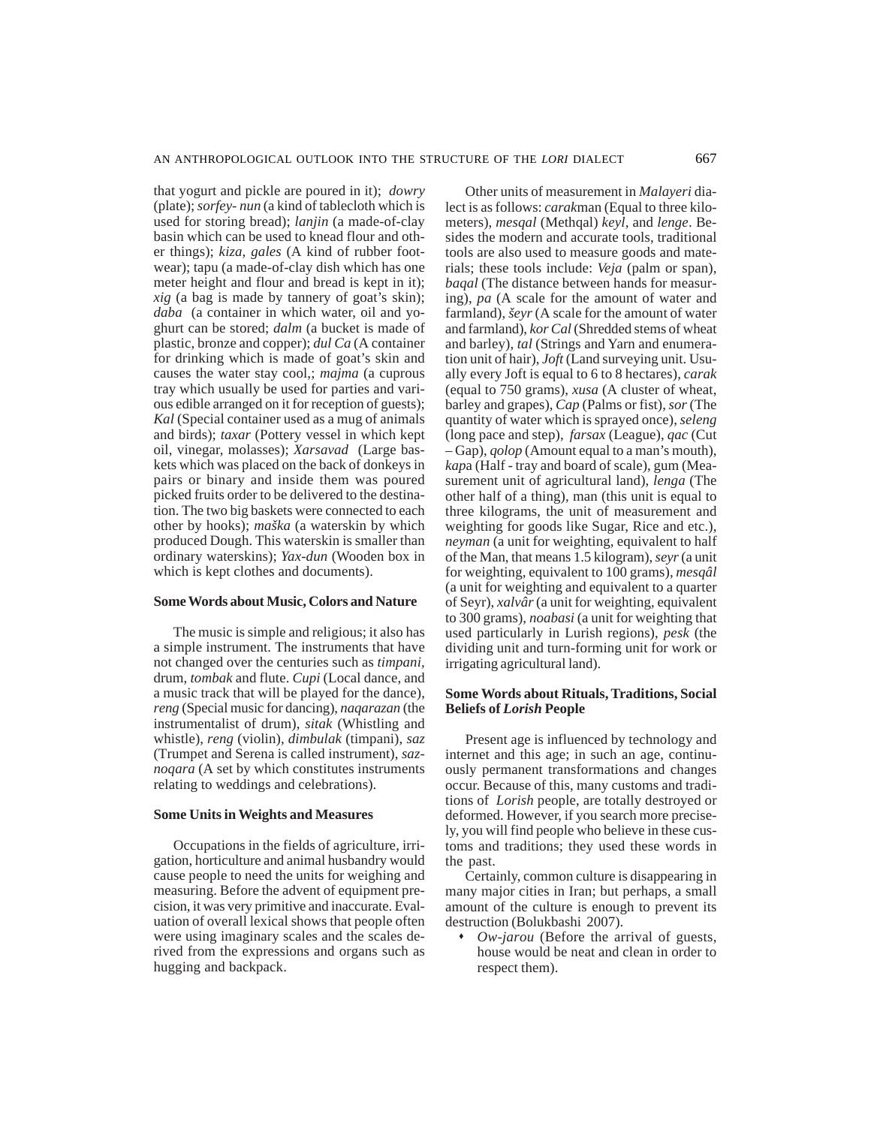that yogurt and pickle are poured in it); *dowry* (plate); *sorfey- nun* (a kind of tablecloth which is used for storing bread); *lanjin* (a made-of-clay basin which can be used to knead flour and other things); *kiza, gales* (A kind of rubber footwear); tapu (a made-of-clay dish which has one meter height and flour and bread is kept in it); *xig* (a bag is made by tannery of goat's skin); *daba* (a container in which water, oil and yoghurt can be stored; *dalm* (a bucket is made of plastic, bronze and copper); *dul Ca* (A container for drinking which is made of goat's skin and causes the water stay cool,; *majma* (a cuprous tray which usually be used for parties and various edible arranged on it for reception of guests); *Kal* (Special container used as a mug of animals and birds); *taxar* (Pottery vessel in which kept oil, vinegar, molasses); *Xarsavad* (Large baskets which was placed on the back of donkeys in pairs or binary and inside them was poured picked fruits order to be delivered to the destination. The two big baskets were connected to each other by hooks); *maška* (a waterskin by which produced Dough. This waterskin is smaller than ordinary waterskins); *Yax-dun* (Wooden box in which is kept clothes and documents).

#### **Some Words about Music, Colors and Nature**

The music is simple and religious; it also has a simple instrument. The instruments that have not changed over the centuries such as *timpani,* drum, *tombak* and flute. *Cupi* (Local dance, and a music track that will be played for the dance), *reng* (Special music for dancing), *naqarazan* (the instrumentalist of drum), *sitak* (Whistling and whistle), *reng* (violin), *dimbulak* (timpani), *saz* (Trumpet and Serena is called instrument), *saznoqara* (A set by which constitutes instruments relating to weddings and celebrations).

#### **Some Units in Weights and Measures**

Occupations in the fields of agriculture, irrigation, horticulture and animal husbandry would cause people to need the units for weighing and measuring. Before the advent of equipment precision, it was very primitive and inaccurate. Evaluation of overall lexical shows that people often were using imaginary scales and the scales derived from the expressions and organs such as hugging and backpack.

Other units of measurement in *Malayeri* dialect is as follows: *carak*man (Equal to three kilometers), *mesqal* (Methqal) *keyl,* and *lenge*. Besides the modern and accurate tools, traditional tools are also used to measure goods and materials; these tools include: *Veja* (palm or span), *baqal* (The distance between hands for measuring), *pa* (A scale for the amount of water and farmland), *šeyr* (A scale for the amount of water and farmland), *kor Cal* (Shredded stems of wheat and barley), *tal* (Strings and Yarn and enumeration unit of hair), *Joft* (Land surveying unit. Usually every Joft is equal to 6 to 8 hectares), *carak* (equal to 750 grams), *xusa* (A cluster of wheat, barley and grapes), *Cap* (Palms or fist), *sor* (The quantity of water which is sprayed once), *seleng* (long pace and step), *farsax* (League), *qac* (Cut – Gap), *qolop* (Amount equal to a man's mouth), *kap*a (Half - tray and board of scale), gum (Measurement unit of agricultural land), *lenga* (The other half of a thing), man (this unit is equal to three kilograms, the unit of measurement and weighting for goods like Sugar, Rice and etc.), *neyman* (a unit for weighting, equivalent to half of the Man, that means 1.5 kilogram), *seyr* (a unit for weighting, equivalent to 100 grams), *mesqâl* (a unit for weighting and equivalent to a quarter of Seyr), *xalvâr* (a unit for weighting, equivalent to 300 grams), *noabasi* (a unit for weighting that used particularly in Lurish regions), *pesk* (the dividing unit and turn-forming unit for work or irrigating agricultural land).

# **Some Words about Rituals, Traditions, Social Beliefs of** *Lorish* **People**

Present age is influenced by technology and internet and this age; in such an age, continuously permanent transformations and changes occur. Because of this, many customs and traditions of *Lorish* people, are totally destroyed or deformed. However, if you search more precisely, you will find people who believe in these customs and traditions; they used these words in the past.

Certainly, common culture is disappearing in many major cities in Iran; but perhaps, a small amount of the culture is enough to prevent its destruction (Bolukbashi 2007).

 *Ow-jarou* (Before the arrival of guests, house would be neat and clean in order to respect them).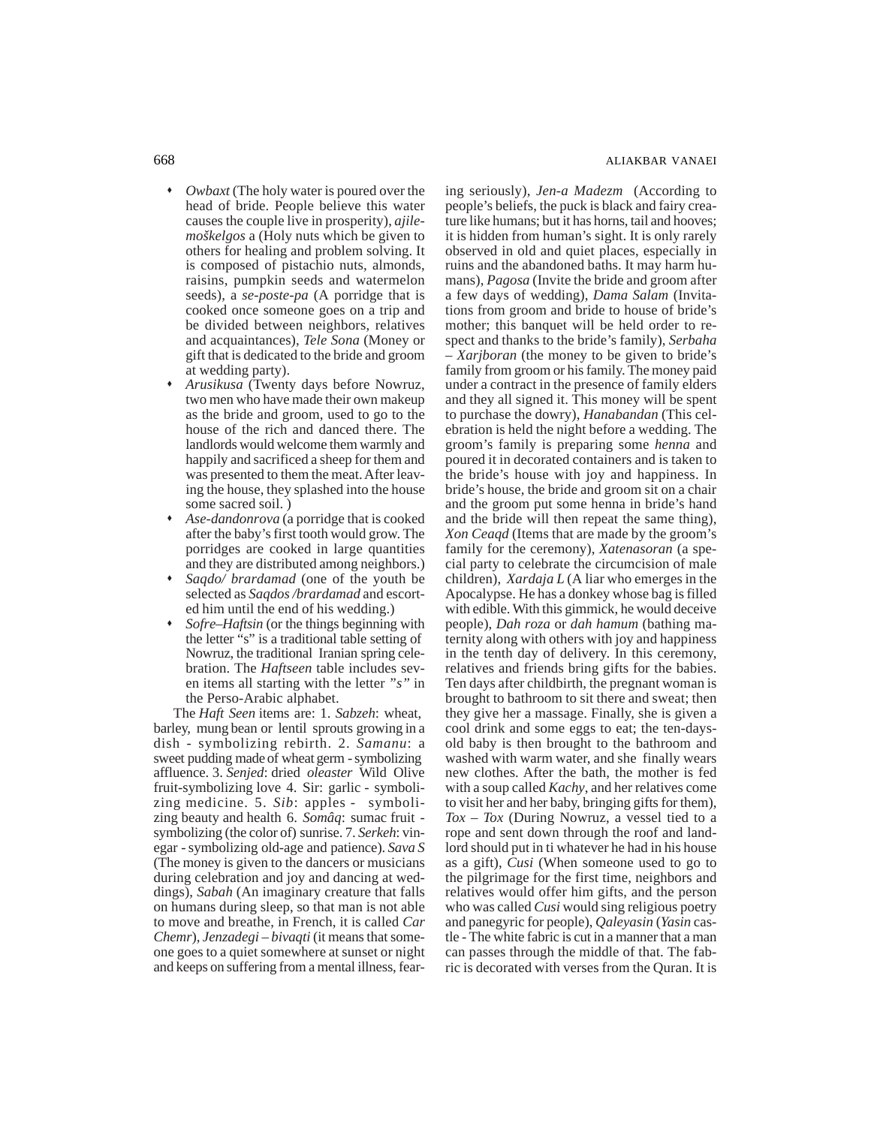- *Owbaxt* (The holy water is poured over the head of bride. People believe this water causes the couple live in prosperity), *ajilemoškelgos* a (Holy nuts which be given to others for healing and problem solving. It is composed of pistachio nuts, almonds, raisins, pumpkin seeds and watermelon seeds), a *se-poste-pa* (A porridge that is cooked once someone goes on a trip and be divided between neighbors, relatives and acquaintances), *Tele Sona* (Money or gift that is dedicated to the bride and groom at wedding party).
- *Arusikusa* (Twenty days before Nowruz, two men who have made their own makeup as the bride and groom, used to go to the house of the rich and danced there. The landlords would welcome them warmly and happily and sacrificed a sheep for them and was presented to them the meat. After leaving the house, they splashed into the house some sacred soil. )
- *Ase-dandonrova* (a porridge that is cooked after the baby's first tooth would grow. The porridges are cooked in large quantities and they are distributed among neighbors.)
- *Saqdo/ brardamad* (one of the youth be selected as *Saqdos /brardamad* and escorted him until the end of his wedding.)
- *Sofre–Haftsin* (or the things beginning with the letter "s" is a traditional table setting of Nowruz, the traditional Iranian spring celebration. The *Haftseen* table includes seven items all starting with the letter *"s"* in the Perso-Arabic alphabet.

The *Haft Seen* items are: 1. *Sabzeh*: wheat, barley, mung bean or lentil sprouts growing in a dish - symbolizing rebirth. 2. *Samanu*: a sweet pudding made of wheat germ - symbolizing affluence. 3. *Senjed*: dried *oleaster* Wild Olive fruit-symbolizing love 4. Sir: garlic - symbolizing medicine. 5. *Sib*: apples - symbolizing beauty and health 6. *Somâq*: sumac fruit symbolizing (the color of) sunrise. 7. *Serkeh*: vinegar - symbolizing old-age and patience). *Sava S* (The money is given to the dancers or musicians during celebration and joy and dancing at weddings), *Sabah* (An imaginary creature that falls on humans during sleep, so that man is not able to move and breathe, in French, it is called *Car Chemr*), *Jenzadegi – bivaqti* (it means that someone goes to a quiet somewhere at sunset or night and keeps on suffering from a mental illness, fearing seriously), *Jen-a Madezm* (According to people's beliefs, the puck is black and fairy creature like humans; but it has horns, tail and hooves; it is hidden from human's sight. It is only rarely observed in old and quiet places, especially in ruins and the abandoned baths. It may harm humans), *Pagosa* (Invite the bride and groom after a few days of wedding), *Dama Salam* (Invitations from groom and bride to house of bride's mother; this banquet will be held order to respect and thanks to the bride's family), *Serbaha – Xarjboran* (the money to be given to bride's family from groom or his family. The money paid under a contract in the presence of family elders and they all signed it. This money will be spent to purchase the dowry), *Hanabandan* (This celebration is held the night before a wedding. The groom's family is preparing some *henna* and poured it in decorated containers and is taken to the bride's house with joy and happiness. In bride's house, the bride and groom sit on a chair and the groom put some henna in bride's hand and the bride will then repeat the same thing), *Xon Ceaqd* (Items that are made by the groom's family for the ceremony), *Xatenasoran* (a special party to celebrate the circumcision of male children), *Xardaja L* (A liar who emerges in the Apocalypse. He has a donkey whose bag is filled with edible. With this gimmick, he would deceive people), *Dah roza* or *dah hamum* (bathing maternity along with others with joy and happiness in the tenth day of delivery. In this ceremony, relatives and friends bring gifts for the babies. Ten days after childbirth, the pregnant woman is brought to bathroom to sit there and sweat; then they give her a massage. Finally, she is given a cool drink and some eggs to eat; the ten-daysold baby is then brought to the bathroom and washed with warm water, and she finally wears new clothes. After the bath, the mother is fed with a soup called *Kachy*, and her relatives come to visit her and her baby, bringing gifts for them), *Tox – Tox* (During Nowruz, a vessel tied to a rope and sent down through the roof and landlord should put in ti whatever he had in his house as a gift), *Cusi* (When someone used to go to the pilgrimage for the first time, neighbors and relatives would offer him gifts, and the person who was called *Cusi* would sing religious poetry and panegyric for people), *Qaleyasin* (*Yasin* castle - The white fabric is cut in a manner that a man can passes through the middle of that. The fabric is decorated with verses from the Quran. It is